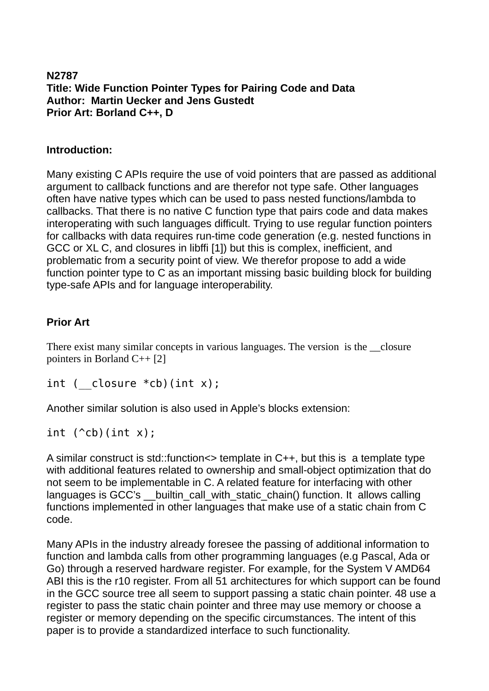#### **N2787 Title: Wide Function Pointer Types for Pairing Code and Data Author: Martin Uecker and Jens Gustedt Prior Art: Borland C++, D**

#### **Introduction:**

Many existing C APIs require the use of void pointers that are passed as additional argument to callback functions and are therefor not type safe. Other languages often have native types which can be used to pass nested functions/lambda to callbacks. That there is no native C function type that pairs code and data makes interoperating with such languages difficult. Trying to use regular function pointers for callbacks with data requires run-time code generation (e.g. nested functions in GCC or XL C, and closures in libffi [1]) but this is complex, inefficient, and problematic from a security point of view. We therefor propose to add a wide function pointer type to C as an important missing basic building block for building type-safe APIs and for language interoperability.

## **Prior Art**

There exist many similar concepts in various languages. The version is the closure pointers in Borland C++ [2]

int (  $closure *cb)(int x);$ 

Another similar solution is also used in Apple's blocks extension:

int  $(\hat{c}$ cb)(int x);

A similar construct is std::function<> template in C++, but this is a template type with additional features related to ownership and small-object optimization that do not seem to be implementable in C. A related feature for interfacing with other languages is GCC's builtin call with static chain() function. It allows calling functions implemented in other languages that make use of a static chain from C code.

Many APIs in the industry already foresee the passing of additional information to function and lambda calls from other programming languages (e.g Pascal, Ada or Go) through a reserved hardware register. For example, for the System V AMD64 ABI this is the r10 register. From all 51 architectures for which support can be found in the GCC source tree all seem to support passing a static chain pointer. 48 use a register to pass the static chain pointer and three may use memory or choose a register or memory depending on the specific circumstances. The intent of this paper is to provide a standardized interface to such functionality.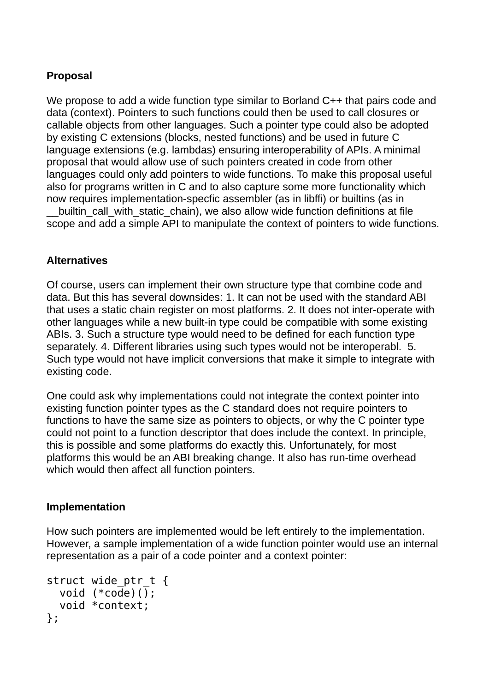# **Proposal**

We propose to add a wide function type similar to Borland C++ that pairs code and data (context). Pointers to such functions could then be used to call closures or callable objects from other languages. Such a pointer type could also be adopted by existing C extensions (blocks, nested functions) and be used in future C language extensions (e.g. lambdas) ensuring interoperability of APIs. A minimal proposal that would allow use of such pointers created in code from other languages could only add pointers to wide functions. To make this proposal useful also for programs written in C and to also capture some more functionality which now requires implementation-specfic assembler (as in libffi) or builtins (as in

builtin\_call\_with\_static\_chain), we also allow wide function definitions at file scope and add a simple API to manipulate the context of pointers to wide functions.

## **Alternatives**

Of course, users can implement their own structure type that combine code and data. But this has several downsides: 1. It can not be used with the standard ABI that uses a static chain register on most platforms. 2. It does not inter-operate with other languages while a new built-in type could be compatible with some existing ABIs. 3. Such a structure type would need to be defined for each function type separately. 4. Different libraries using such types would not be interoperabl. 5. Such type would not have implicit conversions that make it simple to integrate with existing code.

One could ask why implementations could not integrate the context pointer into existing function pointer types as the C standard does not require pointers to functions to have the same size as pointers to objects, or why the C pointer type could not point to a function descriptor that does include the context. In principle, this is possible and some platforms do exactly this. Unfortunately, for most platforms this would be an ABI breaking change. It also has run-time overhead which would then affect all function pointers.

#### **Implementation**

How such pointers are implemented would be left entirely to the implementation. However, a sample implementation of a wide function pointer would use an internal representation as a pair of a code pointer and a context pointer:

```
struct wide ptr t {
   void (*code)();
   void *context; 
};
```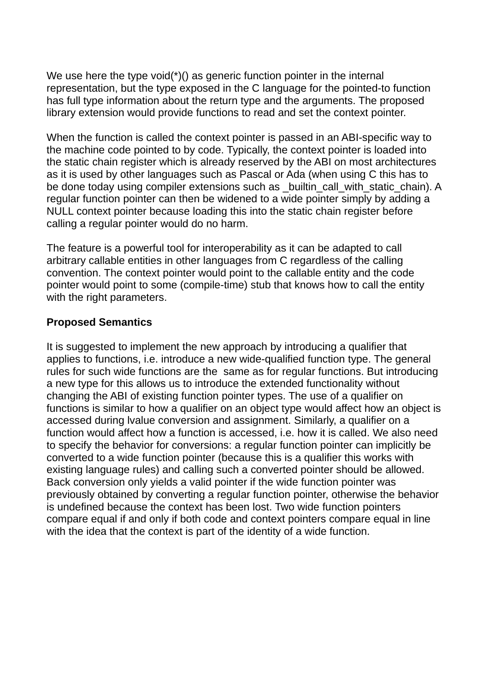We use here the type void(\*)() as generic function pointer in the internal representation, but the type exposed in the C language for the pointed-to function has full type information about the return type and the arguments. The proposed library extension would provide functions to read and set the context pointer.

When the function is called the context pointer is passed in an ABI-specific way to the machine code pointed to by code. Typically, the context pointer is loaded into the static chain register which is already reserved by the ABI on most architectures as it is used by other languages such as Pascal or Ada (when using C this has to be done today using compiler extensions such as \_builtin\_call\_with\_static\_chain). A regular function pointer can then be widened to a wide pointer simply by adding a NULL context pointer because loading this into the static chain register before calling a regular pointer would do no harm.

The feature is a powerful tool for interoperability as it can be adapted to call arbitrary callable entities in other languages from C regardless of the calling convention. The context pointer would point to the callable entity and the code pointer would point to some (compile-time) stub that knows how to call the entity with the right parameters.

#### **Proposed Semantics**

It is suggested to implement the new approach by introducing a qualifier that applies to functions, i.e. introduce a new wide-qualified function type. The general rules for such wide functions are the same as for regular functions. But introducing a new type for this allows us to introduce the extended functionality without changing the ABI of existing function pointer types. The use of a qualifier on functions is similar to how a qualifier on an object type would affect how an object is accessed during lvalue conversion and assignment. Similarly, a qualifier on a function would affect how a function is accessed, i.e. how it is called. We also need to specify the behavior for conversions: a regular function pointer can implicitly be converted to a wide function pointer (because this is a qualifier this works with existing language rules) and calling such a converted pointer should be allowed. Back conversion only yields a valid pointer if the wide function pointer was previously obtained by converting a regular function pointer, otherwise the behavior is undefined because the context has been lost. Two wide function pointers compare equal if and only if both code and context pointers compare equal in line with the idea that the context is part of the identity of a wide function.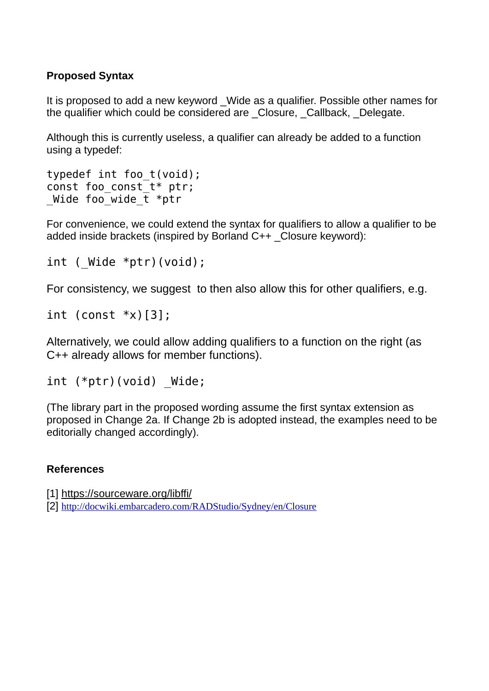# **Proposed Syntax**

It is proposed to add a new keyword Wide as a qualifier. Possible other names for the qualifier which could be considered are Closure, Callback, Delegate,

Although this is currently useless, a qualifier can already be added to a function using a typedef:

```
typedef int foo_t(void);
const foo const t* ptr;
Wide foo wide t *ptr
```
For convenience, we could extend the syntax for qualifiers to allow a qualifier to be added inside brackets (inspired by Borland C++ \_Closure keyword):

int (  $Wide *ptr)$  (void);

For consistency, we suggest to then also allow this for other qualifiers, e.g.

int (const  $*x$ )[3];

Alternatively, we could allow adding qualifiers to a function on the right (as C++ already allows for member functions).

```
int (*ptr)(void) Wide;
```
(The library part in the proposed wording assume the first syntax extension as proposed in Change 2a. If Change 2b is adopted instead, the examples need to be editorially changed accordingly).

## **References**

[1] <https://sourceware.org/libffi/>

[2] <http://docwiki.embarcadero.com/RADStudio/Sydney/en/Closure>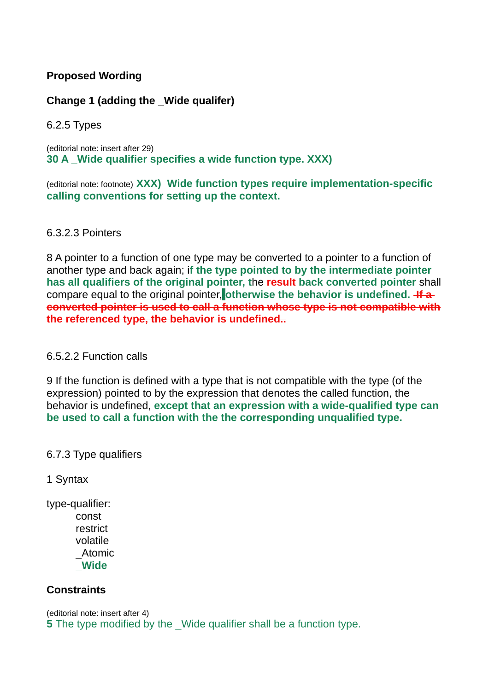# **Proposed Wording**

# **Change 1 (adding the \_Wide qualifer)**

6.2.5 Types

(editorial note: insert after 29) **30 A \_Wide qualifier specifies a wide function type. XXX)**

(editorial note: footnote) **XXX) Wide function types require implementation-specific calling conventions for setting up the context.** 

#### 6.3.2.3 Pointers

8 A pointer to a function of one type may be converted to a pointer to a function of another type and back again; i**f the type pointed to by the intermediate pointer has all qualifiers of the original pointer, t**he **result back converted pointer** shall compare equal to the original pointer, otherwise the behavior is undefined. **If a converted pointer is used to call a function whose type is not compatible with the referenced type, the behavior is undefined..**

#### 6.5.2.2 Function calls

9 If the function is defined with a type that is not compatible with the type (of the expression) pointed to by the expression that denotes the called function, the behavior is undefined, **except that an expression with a wide-qualified type can be used to call a function with the the corresponding unqualified type.**

## 6.7.3 Type qualifiers

1 Syntax

type-qualifier: const restrict volatile \_Atomic **\_Wide**

## **Constraints**

(editorial note: insert after 4) **5** The type modified by the Wide qualifier shall be a function type.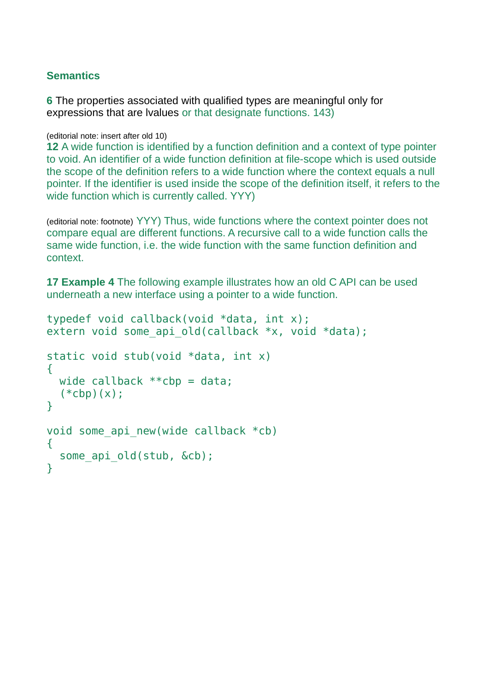#### **Semantics**

**6** The properties associated with qualified types are meaningful only for expressions that are lvalues or that designate functions. 143)

(editorial note: insert after old 10)

**12** A wide function is identified by a function definition and a context of type pointer to void. An identifier of a wide function definition at file-scope which is used outside the scope of the definition refers to a wide function where the context equals a null pointer. If the identifier is used inside the scope of the definition itself, it refers to the wide function which is currently called. YYY)

(editorial note: footnote) YYY) Thus, wide functions where the context pointer does not compare equal are different functions. A recursive call to a wide function calls the same wide function, i.e. the wide function with the same function definition and context.

**17 Example 4** The following example illustrates how an old C API can be used underneath a new interface using a pointer to a wide function.

```
typedef void callback(void *data, int x);
extern void some api old(callback *x, void *data);
static void stub(void *data, int x)
{
 wide callback **cbp = data;
  (*cbp)(x);}
void some api new(wide callback *cb)
{ 
  some api old(stub, &cb);
}
```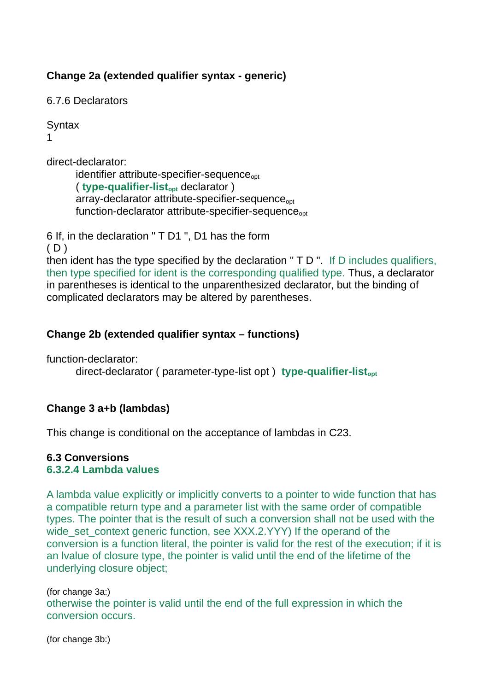# **Change 2a (extended qualifier syntax - generic)**

6.7.6 Declarators

**Syntax** 1

direct-declarator:

identifier attribute-specifier-sequence<sub>opt</sub> ( **type-qualifier-listopt** declarator ) array-declarator attribute-specifier-sequence<sub>opt</sub> function-declarator attribute-specifier-sequence<sub>opt</sub>

6 If, in the declaration " T D1 ", D1 has the form

 $(D)$ 

then ident has the type specified by the declaration " T D ". If D includes qualifiers, then type specified for ident is the corresponding qualified type. Thus, a declarator in parentheses is identical to the unparenthesized declarator, but the binding of complicated declarators may be altered by parentheses.

# **Change 2b (extended qualifier syntax – functions)**

function-declarator:

direct-declarator ( parameter-type-list opt ) **type-qualifier-listopt**

## **Change 3 a+b (lambdas)**

This change is conditional on the acceptance of lambdas in C23.

#### **6.3 Conversions 6.3.2.4 Lambda values**

A lambda value explicitly or implicitly converts to a pointer to wide function that has a compatible return type and a parameter list with the same order of compatible types. The pointer that is the result of such a conversion shall not be used with the wide set context generic function, see XXX.2.YYY) If the operand of the conversion is a function literal, the pointer is valid for the rest of the execution; if it is an lvalue of closure type, the pointer is valid until the end of the lifetime of the underlying closure object;

(for change 3a:) otherwise the pointer is valid until the end of the full expression in which the conversion occurs.

(for change 3b:)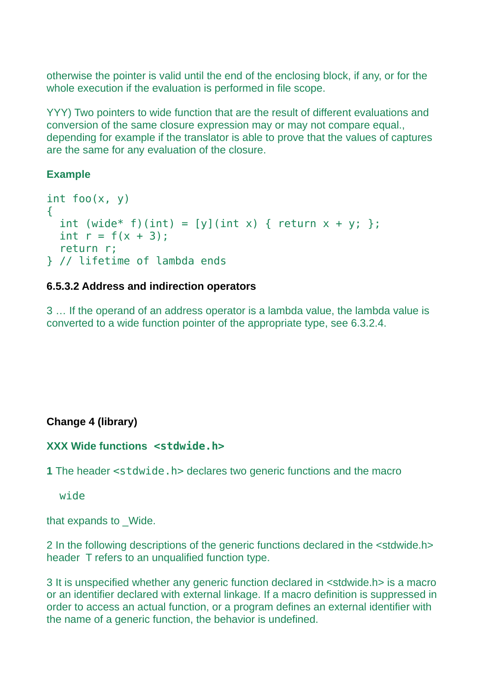otherwise the pointer is valid until the end of the enclosing block, if any, or for the whole execution if the evaluation is performed in file scope.

YYY) Two pointers to wide function that are the result of different evaluations and conversion of the same closure expression may or may not compare equal., depending for example if the translator is able to prove that the values of captures are the same for any evaluation of the closure.

# **Example**

```
int foo(x, y){
 int (wide* f)(int) = [y](int x) { return x + y; };
 int r = f(x + 3);
   return r;
} // lifetime of lambda ends
```
# **6.5.3.2 Address and indirection operators**

3 … If the operand of an address operator is a lambda value, the lambda value is converted to a wide function pointer of the appropriate type, see 6.3.2.4.

# **Change 4 (library)**

## **XXX Wide functions <stdwide.h>**

**1** The header <stdwide.h> declares two generic functions and the macro

wide

that expands to Wide.

2 In the following descriptions of the generic functions declared in the <stdwide.h> header T refers to an unqualified function type.

3 It is unspecified whether any generic function declared in <stdwide.h> is a macro or an identifier declared with external linkage. If a macro definition is suppressed in order to access an actual function, or a program defines an external identifier with the name of a generic function, the behavior is undefined.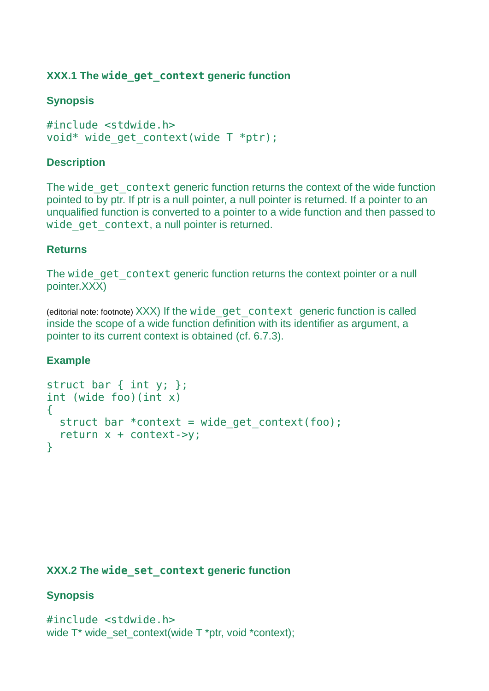# **XXX.1 The wide\_get\_context generic function**

# **Synopsis**

#include <stdwide.h> void\* wide get context(wide  $T$  \*ptr);

## **Description**

The wide get context generic function returns the context of the wide function pointed to by ptr. If ptr is a null pointer, a null pointer is returned. If a pointer to an unqualified function is converted to a pointer to a wide function and then passed to wide get context, a null pointer is returned.

#### **Returns**

The wide get context generic function returns the context pointer or a null pointer.XXX)

(editorial note: footnote) XXX) If the wide\_get\_context generic function is called inside the scope of a wide function definition with its identifier as argument, a pointer to its current context is obtained (cf. 6.7.3).

## **Example**

```
struct bar { int y; };
int (wide foo)(int x)
\mathcal{L}struct bar *context = wide get context(foo);
   return x + context->y;
}
```
#### **XXX.2 The wide\_set\_context generic function**

## **Synopsis**

```
#include <stdwide.h>
wide T* wide_set_context(wide T *ptr, void *context);
```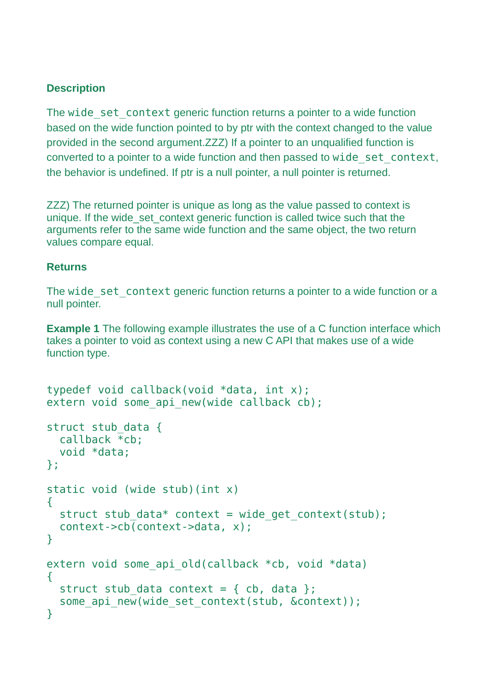# **Description**

The wide set context generic function returns a pointer to a wide function based on the wide function pointed to by ptr with the context changed to the value provided in the second argument.ZZZ) If a pointer to an unqualified function is converted to a pointer to a wide function and then passed to wide\_set\_context, the behavior is undefined. If ptr is a null pointer, a null pointer is returned.

ZZZ) The returned pointer is unique as long as the value passed to context is unique. If the wide set context generic function is called twice such that the arguments refer to the same wide function and the same object, the two return values compare equal.

#### **Returns**

The wide set context generic function returns a pointer to a wide function or a null pointer.

**Example 1** The following example illustrates the use of a C function interface which takes a pointer to void as context using a new C API that makes use of a wide function type.

```
typedef void callback(void *data, int x);
extern void some api new(wide callback cb);
struct stub data {
   callback *cb;
   void *data;
\mathcal{E}:
static void (wide stub)(int x)
\{struct stub data* context = wide get context(stub);
   context->cb(context->data, x);
}
extern void some api old(callback *cb, void *data)
{ 
  struct stub data context = { cb, data };
  some api new(wide set context(stub, &context));
}
```